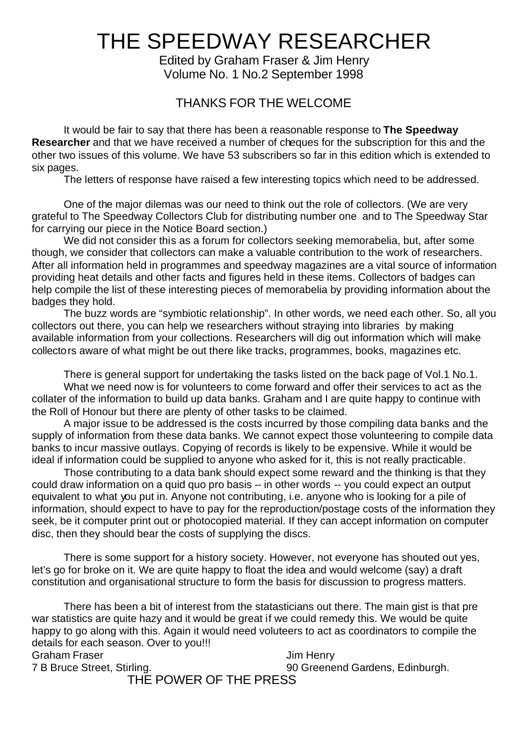# THE SPEEDWAY RESEARCHER

Edited by Graham Fraser & Jim Henry Volume No. 1 No.2 September 1998

### THANKS FOR THE WELCOME

 It would be fair to say that there has been a reasonable response to **The Speedway Researcher** and that we have received a number of cheques for the subscription for this and the other two issues of this volume. We have 53 subscribers so far in this edition which is extended to six pages.

The letters of response have raised a few interesting topics which need to be addressed.

One of the major dilemas was our need to think out the role of collectors. (We are very grateful to The Speedway Collectors Club for distributing number one and to The Speedway Star for carrying our piece in the Notice Board section.)

 We did not consider this as a forum for collectors seeking memorabelia, but, after some though, we consider that collectors can make a valuable contribution to the work of researchers. After all information held in programmes and speedway magazines are a vital source of information providing heat details and other facts and figures held in these items. Collectors of badges can help compile the list of these interesting pieces of memorabelia by providing information about the badges they hold.

The buzz words are "symbiotic relationship". In other words, we need each other. So, all you collectors out there, you can help we researchers without straying into libraries by making available information from your collections. Researchers will dig out information which will make collectors aware of what might be out there like tracks, programmes, books, magazines etc.

There is general support for undertaking the tasks listed on the back page of Vol.1 No.1. What we need now is for volunteers to come forward and offer their services to act as the collater of the information to build up data banks. Graham and I are quite happy to continue with the Roll of Honour but there are plenty of other tasks to be claimed.

A major issue to be addressed is the costs incurred by those compiling data banks and the supply of information from these data banks. We cannot expect those volunteering to compile data banks to incur massive outlays. Copying of records is likely to be expensive. While it would be ideal if information could be supplied to anyone who asked for it, this is not really practicable.

Those contributing to a data bank should expect some reward and the thinking is that they could draw information on a quid quo pro basis -- in other words -- you could expect an output equivalent to what you put in. Anyone not contributing, i.e. anyone who is looking for a pile of information, should expect to have to pay for the reproduction/postage costs of the information they seek, be it computer print out or photocopied material. If they can accept information on computer disc, then they should bear the costs of supplying the discs.

There is some support for a history society. However, not everyone has shouted out yes, let's go for broke on it. We are quite happy to float the idea and would welcome (say) a draft constitution and organisational structure to form the basis for discussion to progress matters.

There has been a bit of interest from the statasticians out there. The main gist is that pre war statistics are quite hazy and it would be great if we could remedy this. We would be quite happy to go along with this. Again it would need voluteers to act as coordinators to compile the details for each season. Over to you!!! Graham Fraser **Graham Fraser** School and Theory and Theory Jim Henry 7 B Bruce Street, Stirling. 90 Greenend Gardens, Edinburgh.

### THE POWER OF THE PRESS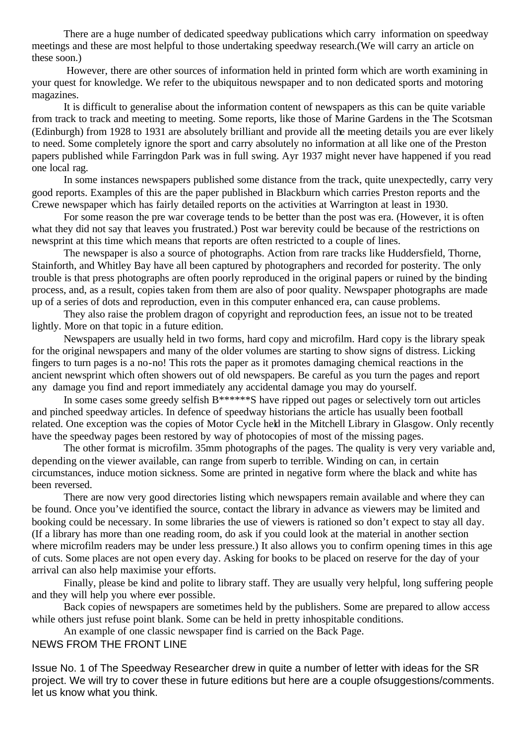There are a huge number of dedicated speedway publications which carry information on speedway meetings and these are most helpful to those undertaking speedway research.(We will carry an article on these soon.)

 However, there are other sources of information held in printed form which are worth examining in your quest for knowledge. We refer to the ubiquitous newspaper and to non dedicated sports and motoring magazines.

It is difficult to generalise about the information content of newspapers as this can be quite variable from track to track and meeting to meeting. Some reports, like those of Marine Gardens in the The Scotsman (Edinburgh) from 1928 to 1931 are absolutely brilliant and provide all the meeting details you are ever likely to need. Some completely ignore the sport and carry absolutely no information at all like one of the Preston papers published while Farringdon Park was in full swing. Ayr 1937 might never have happened if you read one local rag.

In some instances newspapers published some distance from the track, quite unexpectedly, carry very good reports. Examples of this are the paper published in Blackburn which carries Preston reports and the Crewe newspaper which has fairly detailed reports on the activities at Warrington at least in 1930.

For some reason the pre war coverage tends to be better than the post was era. (However, it is often what they did not say that leaves you frustrated.) Post war berevity could be because of the restrictions on newsprint at this time which means that reports are often restricted to a couple of lines.

The newspaper is also a source of photographs. Action from rare tracks like Huddersfield, Thorne, Stainforth, and Whitley Bay have all been captured by photographers and recorded for posterity. The only trouble is that press photographs are often poorly reproduced in the original papers or ruined by the binding process, and, as a result, copies taken from them are also of poor quality. Newspaper photographs are made up of a series of dots and reproduction, even in this computer enhanced era, can cause problems.

 They also raise the problem dragon of copyright and reproduction fees, an issue not to be treated lightly. More on that topic in a future edition.

Newspapers are usually held in two forms, hard copy and microfilm. Hard copy is the library speak for the original newspapers and many of the older volumes are starting to show signs of distress. Licking fingers to turn pages is a no-no! This rots the paper as it promotes damaging chemical reactions in the ancient newsprint which often showers out of old newspapers. Be careful as you turn the pages and report any damage you find and report immediately any accidental damage you may do yourself.

In some cases some greedy selfish B\*\*\*\*\*\*S have ripped out pages or selectively torn out articles and pinched speedway articles. In defence of speedway historians the article has usually been football related. One exception was the copies of Motor Cycle held in the Mitchell Library in Glasgow. Only recently have the speedway pages been restored by way of photocopies of most of the missing pages.

The other format is microfilm. 35mm photographs of the pages. The quality is very very variable and, depending on the viewer available, can range from superb to terrible. Winding on can, in certain circumstances, induce motion sickness. Some are printed in negative form where the black and white has been reversed.

There are now very good directories listing which newspapers remain available and where they can be found. Once you've identified the source, contact the library in advance as viewers may be limited and booking could be necessary. In some libraries the use of viewers is rationed so don't expect to stay all day. (If a library has more than one reading room, do ask if you could look at the material in another section where microfilm readers may be under less pressure.) It also allows you to confirm opening times in this age of cuts. Some places are not open every day. Asking for books to be placed on reserve for the day of your arrival can also help maximise your efforts.

 Finally, please be kind and polite to library staff. They are usually very helpful, long suffering people and they will help you where ever possible.

Back copies of newspapers are sometimes held by the publishers. Some are prepared to allow access while others just refuse point blank. Some can be held in pretty inhospitable conditions.

An example of one classic newspaper find is carried on the Back Page.

### NEWS FROM THE FRONT LINE

Issue No. 1 of The Speedway Researcher drew in quite a number of letter with ideas for the SR project. We will try to cover these in future editions but here are a couple ofsuggestions/comments. let us know what you think.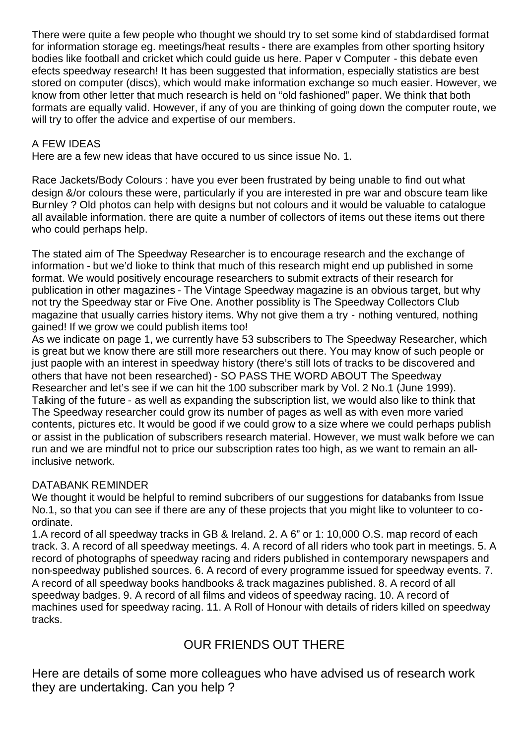There were quite a few people who thought we should try to set some kind of stabdardised format for information storage eg. meetings/heat results - there are examples from other sporting hsitory bodies like football and cricket which could guide us here. Paper v Computer - this debate even efects speedway research! It has been suggested that information, especially statistics are best stored on computer (discs), which would make information exchange so much easier. However, we know from other letter that much research is held on "old fashioned" paper. We think that both formats are equally valid. However, if any of you are thinking of going down the computer route, we will try to offer the advice and expertise of our members.

### A FEW IDEAS

Here are a few new ideas that have occured to us since issue No. 1.

Race Jackets/Body Colours : have you ever been frustrated by being unable to find out what design &/or colours these were, particularly if you are interested in pre war and obscure team like Burnley ? Old photos can help with designs but not colours and it would be valuable to catalogue all available information. there are quite a number of collectors of items out these items out there who could perhaps help.

The stated aim of The Speedway Researcher is to encourage research and the exchange of information - but we'd lioke to think that much of this research might end up published in some format. We would positively encourage researchers to submit extracts of their research for publication in other magazines - The Vintage Speedway magazine is an obvious target, but why not try the Speedway star or Five One. Another possiblity is The Speedway Collectors Club magazine that usually carries history items. Why not give them a try - nothing ventured, nothing gained! If we grow we could publish items too!

As we indicate on page 1, we currently have 53 subscribers to The Speedway Researcher, which is great but we know there are still more researchers out there. You may know of such people or just paople with an interest in speedway history (there's still lots of tracks to be discovered and others that have not been researched) - SO PASS THE WORD ABOUT The Speedway Researcher and let's see if we can hit the 100 subscriber mark by Vol. 2 No.1 (June 1999). Talking of the future - as well as expanding the subscription list, we would also like to think that The Speedway researcher could grow its number of pages as well as with even more varied contents, pictures etc. It would be good if we could grow to a size where we could perhaps publish or assist in the publication of subscribers research material. However, we must walk before we can run and we are mindful not to price our subscription rates too high, as we want to remain an allinclusive network.

### DATABANK REMINDER

We thought it would be helpful to remind subcribers of our suggestions for databanks from Issue No.1, so that you can see if there are any of these projects that you might like to volunteer to coordinate.

1.A record of all speedway tracks in GB & Ireland. 2. A 6" or 1: 10,000 O.S. map record of each track. 3. A record of all speedway meetings. 4. A record of all riders who took part in meetings. 5. A record of photographs of speedway racing and riders published in contemporary newspapers and non-speedway published sources. 6. A record of every programme issued for speedway events. 7. A record of all speedway books handbooks & track magazines published. 8. A record of all speedway badges. 9. A record of all films and videos of speedway racing. 10. A record of machines used for speedway racing. 11. A Roll of Honour with details of riders killed on speedway tracks.

### OUR FRIENDS OUT THERE

Here are details of some more colleagues who have advised us of research work they are undertaking. Can you help ?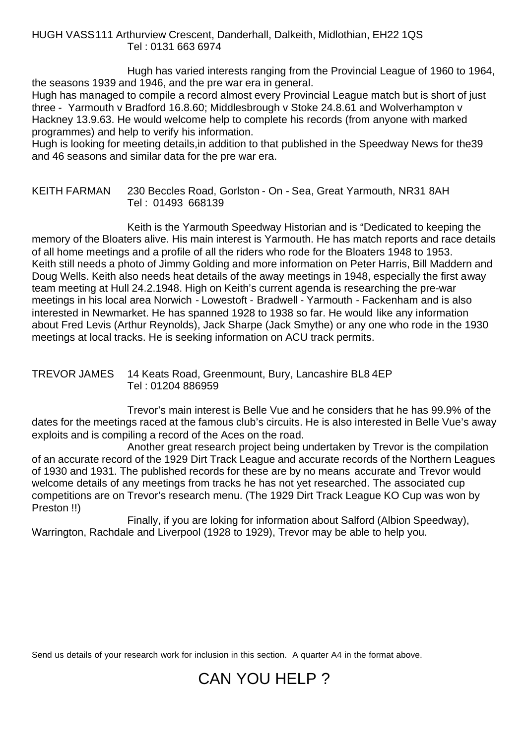HUGH VASS111 Arthurview Crescent, Danderhall, Dalkeith, Midlothian, EH22 1QS Tel : 0131 663 6974

Hugh has varied interests ranging from the Provincial League of 1960 to 1964, the seasons 1939 and 1946, and the pre war era in general. Hugh has managed to compile a record almost every Provincial League match but is short of just three - Yarmouth v Bradford 16.8.60; Middlesbrough v Stoke 24.8.61 and Wolverhampton v Hackney 13.9.63. He would welcome help to complete his records (from anyone with marked programmes) and help to verify his information.

Hugh is looking for meeting details,in addition to that published in the Speedway News for the39 and 46 seasons and similar data for the pre war era.

#### KEITH FARMAN 230 Beccles Road, Gorlston - On - Sea, Great Yarmouth, NR31 8AH Tel : 01493 668139

Keith is the Yarmouth Speedway Historian and is "Dedicated to keeping the memory of the Bloaters alive. His main interest is Yarmouth. He has match reports and race details of all home meetings and a profile of all the riders who rode for the Bloaters 1948 to 1953. Keith still needs a photo of Jimmy Golding and more information on Peter Harris, Bill Maddern and Doug Wells. Keith also needs heat details of the away meetings in 1948, especially the first away team meeting at Hull 24.2.1948. High on Keith's current agenda is researching the pre-war meetings in his local area Norwich - Lowestoft - Bradwell - Yarmouth - Fackenham and is also interested in Newmarket. He has spanned 1928 to 1938 so far. He would like any information about Fred Levis (Arthur Reynolds), Jack Sharpe (Jack Smythe) or any one who rode in the 1930 meetings at local tracks. He is seeking information on ACU track permits.

#### TREVOR JAMES 14 Keats Road, Greenmount, Bury, Lancashire BL8 4EP Tel : 01204 886959

Trevor's main interest is Belle Vue and he considers that he has 99.9% of the dates for the meetings raced at the famous club's circuits. He is also interested in Belle Vue's away exploits and is compiling a record of the Aces on the road.

Another great research project being undertaken by Trevor is the compilation of an accurate record of the 1929 Dirt Track League and accurate records of the Northern Leagues of 1930 and 1931. The published records for these are by no means accurate and Trevor would welcome details of any meetings from tracks he has not yet researched. The associated cup competitions are on Trevor's research menu. (The 1929 Dirt Track League KO Cup was won by Preston !!)

Finally, if you are loking for information about Salford (Albion Speedway), Warrington, Rachdale and Liverpool (1928 to 1929), Trevor may be able to help you.

Send us details of your research work for inclusion in this section. A quarter A4 in the format above.

## CAN YOU HELP ?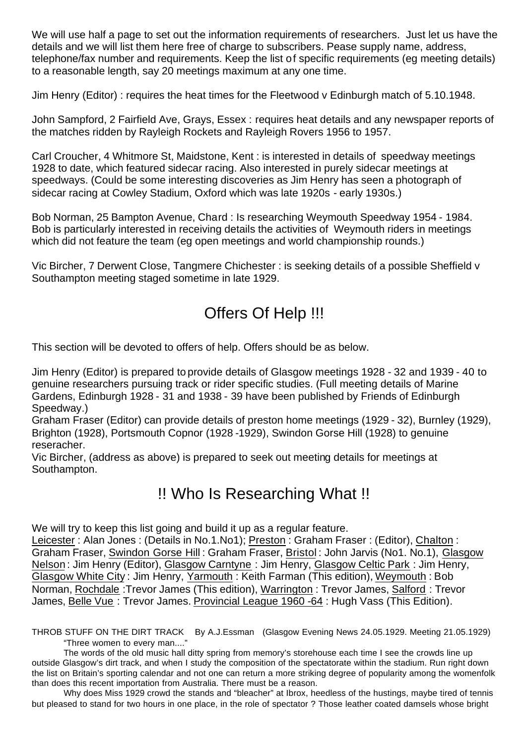We will use half a page to set out the information requirements of researchers. Just let us have the details and we will list them here free of charge to subscribers. Pease supply name, address, telephone/fax number and requirements. Keep the list of specific requirements (eg meeting details) to a reasonable length, say 20 meetings maximum at any one time.

Jim Henry (Editor) : requires the heat times for the Fleetwood v Edinburgh match of 5.10.1948.

John Sampford, 2 Fairfield Ave, Grays, Essex : requires heat details and any newspaper reports of the matches ridden by Rayleigh Rockets and Rayleigh Rovers 1956 to 1957.

Carl Croucher, 4 Whitmore St, Maidstone, Kent : is interested in details of speedway meetings 1928 to date, which featured sidecar racing. Also interested in purely sidecar meetings at speedways. (Could be some interesting discoveries as Jim Henry has seen a photograph of sidecar racing at Cowley Stadium, Oxford which was late 1920s - early 1930s.)

Bob Norman, 25 Bampton Avenue, Chard : Is researching Weymouth Speedway 1954 - 1984. Bob is particularly interested in receiving details the activities of Weymouth riders in meetings which did not feature the team (eg open meetings and world championship rounds.)

Vic Bircher, 7 Derwent Close, Tangmere Chichester : is seeking details of a possible Sheffield v Southampton meeting staged sometime in late 1929.

## Offers Of Help !!!

This section will be devoted to offers of help. Offers should be as below.

Jim Henry (Editor) is prepared to provide details of Glasgow meetings 1928 - 32 and 1939 - 40 to genuine researchers pursuing track or rider specific studies. (Full meeting details of Marine Gardens, Edinburgh 1928 - 31 and 1938 - 39 have been published by Friends of Edinburgh Speedway.)

Graham Fraser (Editor) can provide details of preston home meetings (1929 - 32), Burnley (1929), Brighton (1928), Portsmouth Copnor (1928 -1929), Swindon Gorse Hill (1928) to genuine reseracher.

Vic Bircher, (address as above) is prepared to seek out meeting details for meetings at Southampton.

### !! Who Is Researching What !!

We will try to keep this list going and build it up as a regular feature.

Leicester : Alan Jones : (Details in No.1.No1); Preston : Graham Fraser : (Editor), Chalton : Graham Fraser, Swindon Gorse Hill : Graham Fraser, Bristol : John Jarvis (No1. No.1), Glasgow Nelson : Jim Henry (Editor), Glasgow Carntyne : Jim Henry, Glasgow Celtic Park : Jim Henry, Glasgow White City : Jim Henry, Yarmouth : Keith Farman (This edition), Weymouth : Bob Norman, Rochdale :Trevor James (This edition), Warrington : Trevor James, Salford : Trevor James, Belle Vue : Trevor James. Provincial League 1960 -64 : Hugh Vass (This Edition).

THROB STUFF ON THE DIRT TRACK By A.J.Essman (Glasgow Evening News 24.05.1929. Meeting 21.05.1929) "Three women to every man...."

The words of the old music hall ditty spring from memory's storehouse each time I see the crowds line up outside Glasgow's dirt track, and when I study the composition of the spectatorate within the stadium. Run right down the list on Britain's sporting calendar and not one can return a more striking degree of popularity among the womenfolk than does this recent importation from Australia. There must be a reason.

Why does Miss 1929 crowd the stands and "bleacher" at Ibrox, heedless of the hustings, maybe tired of tennis but pleased to stand for two hours in one place, in the role of spectator ? Those leather coated damsels whose bright